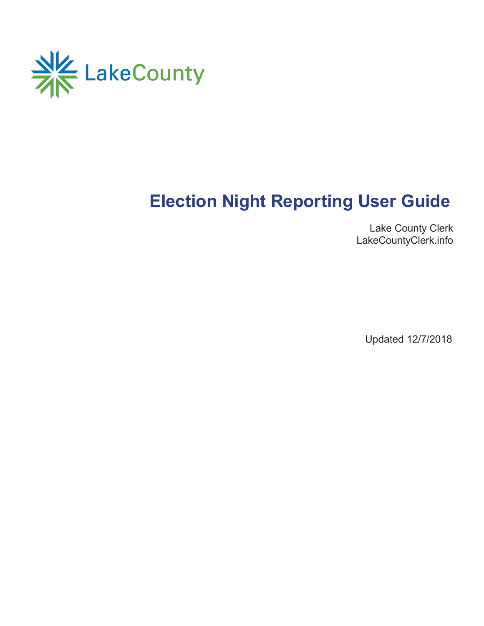

# **Election Night Reporting User Guide**

Lake County Clerk LakeCountyClerk.info

Updated 12/7/2018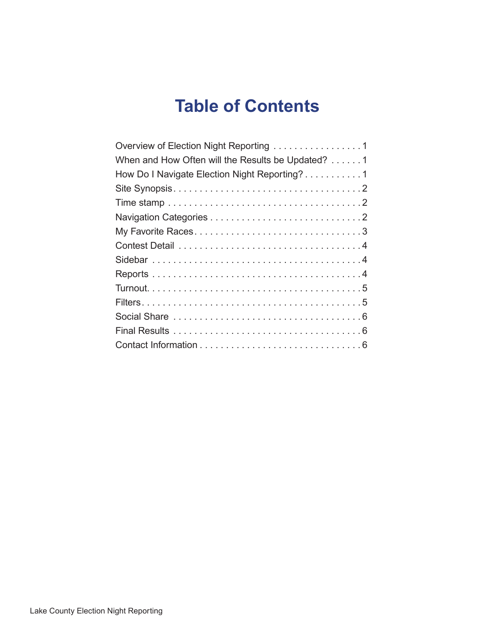## **Table of Contents**

| Overview of Election Night Reporting 1            |
|---------------------------------------------------|
| When and How Often will the Results be Updated? 1 |
| How Do I Navigate Election Night Reporting? 1     |
|                                                   |
|                                                   |
|                                                   |
|                                                   |
|                                                   |
|                                                   |
|                                                   |
|                                                   |
|                                                   |
|                                                   |
|                                                   |
|                                                   |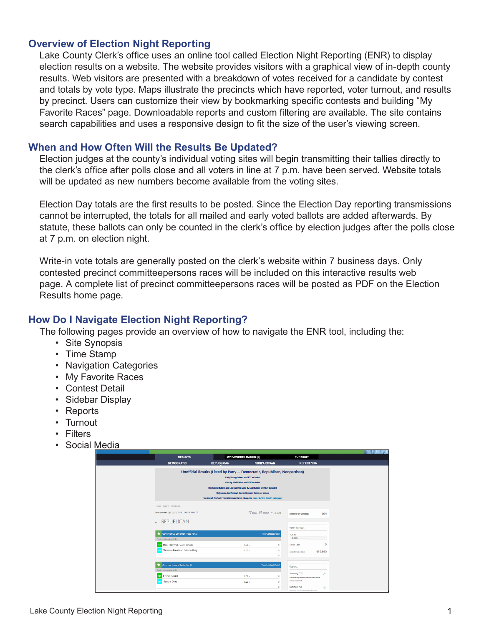### **Overview of Election Night Reporting**

Lake County Clerk's office uses an online tool called Election Night Reporting (ENR) to display election results on a website. The website provides visitors with a graphical view of in-depth county results. Web visitors are presented with a breakdown of votes received for a candidate by contest and totals by vote type. Maps illustrate the precincts which have reported, voter turnout, and results by precinct. Users can customize their view by bookmarking specific contests and building "My Favorite Races" page. Downloadable reports and custom filtering are available. The site contains search capabilities and uses a responsive design to fit the size of the user's viewing screen.

#### **When and How Often Will the Results Be Updated?**

Election judges at the county's individual voting sites will begin transmitting their tallies directly to the clerk's office after polls close and all voters in line at 7 p.m. have been served. Website totals will be updated as new numbers become available from the voting sites.

Election Day totals are the first results to be posted. Since the Election Day reporting transmissions cannot be interrupted, the totals for all mailed and early voted ballots are added afterwards. By statute, these ballots can only be counted in the clerk's office by election judges after the polls close at 7 p.m. on election night.

Write-in vote totals are generally posted on the clerk's website within 7 business days. Only contested precinct committeepersons races will be included on this interactive results web page. A complete list of precinct committeepersons races will be posted as PDF on the Election Results home page.

#### **How Do I Navigate Election Night Reporting?**

The following pages provide an overview of how to navigate the ENR tool, including the:

- Site Synopsis
- Time Stamp
- Navigation Categories
- My Favorite Races
- Contest Detail
- Sidebar Display
- Reports
- Turnout
- Filters
- Social Media

| <b>RESULTS</b>                                                 | <b>MY FAVORITE RACES (0)</b>                                                                                                                                                                                                                                                                                                                                                               |                                                                   | <b>TURNOUT</b>                                                    |
|----------------------------------------------------------------|--------------------------------------------------------------------------------------------------------------------------------------------------------------------------------------------------------------------------------------------------------------------------------------------------------------------------------------------------------------------------------------------|-------------------------------------------------------------------|-------------------------------------------------------------------|
| <b>DEMOCRATIC</b>                                              | <b>REPUBLICAN</b>                                                                                                                                                                                                                                                                                                                                                                          | <b>NONPARTISAN</b>                                                | <b>REFERENDA</b>                                                  |
|                                                                | Unofficial Results (Listed by Party -- Democratic, Republican, Nonpartisan)<br>Early Voting Ballots are NOT included<br>Vote by Mail Ballots are NOT included<br>Provisional Ballots and Late Arriving Vote By Mail Ballots are NOT included<br>Only contested Precinct Committeeman Races are shown<br>To view all Precinct Committeeman Races, please see main Election Results web page |                                                                   |                                                                   |
| HOME - RESULTS - REPUBLICAN                                    |                                                                                                                                                                                                                                                                                                                                                                                            |                                                                   |                                                                   |
| Last updated fr 3/15/2018 12:48:14 PM CDT                      |                                                                                                                                                                                                                                                                                                                                                                                            | $\nabla$ Filter $\bigoplus$ PRINT $\bigotimes_{0}^{\infty}$ SHARE | 104<br>Number of contests                                         |
| - REPUBLICAN                                                   |                                                                                                                                                                                                                                                                                                                                                                                            |                                                                   |                                                                   |
|                                                                |                                                                                                                                                                                                                                                                                                                                                                                            |                                                                   | Voter Turnout                                                     |
| Governor/Lt. Governor (Vote For 1)<br>Precincts Reporting: 0 % |                                                                                                                                                                                                                                                                                                                                                                                            | <b>View Contest Detail</b>                                        | <b>TOTAL</b><br>0.00%                                             |
| Mark Hammel / John Brown                                       | $0.00 -$                                                                                                                                                                                                                                                                                                                                                                                   | $\circ$                                                           | $\mathbf{0}$<br><b>Ballots Cast</b>                               |
| Thomas Jacobson / Aaron Berg                                   | $0.00 -$                                                                                                                                                                                                                                                                                                                                                                                   | $\circ$<br>$\mathbf{0}$                                           | 439,860<br>Registered Voters                                      |
| Attorney General (Vote For 1)                                  |                                                                                                                                                                                                                                                                                                                                                                                            | View Contest Detail                                               | Reports                                                           |
| Precincts Reporting: 0 %                                       |                                                                                                                                                                                                                                                                                                                                                                                            |                                                                   |                                                                   |
| Emma Patriot                                                   | $0.00 -$                                                                                                                                                                                                                                                                                                                                                                                   |                                                                   | Summary CSV<br>击<br>Comma separated file showing total            |
| Sandra Gray                                                    | $0.00 -$                                                                                                                                                                                                                                                                                                                                                                                   | $\circ$                                                           | votes received.                                                   |
|                                                                |                                                                                                                                                                                                                                                                                                                                                                                            | $\mathbf{0}$                                                      | Summary XLS<br>بل<br>the company of the company of the company of |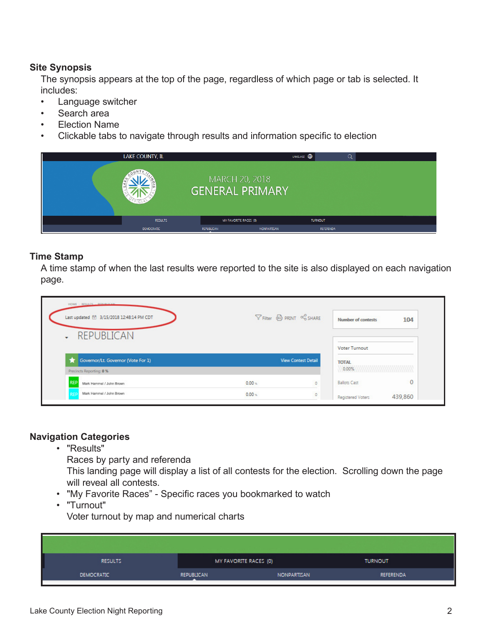## **Site Synopsis**

The synopsis appears at the top of the page, regardless of which page or tab is selected. It includes:

- Language switcher
- Search area
- Election Name
- Clickable tabs to navigate through results and information specific to election

| LAKE COUNTY, IL   |                                          | LANGUAGE <b>(B)</b> |  |
|-------------------|------------------------------------------|---------------------|--|
|                   | MARCH 20, 2018<br><b>GENERAL PRIMARY</b> |                     |  |
| <b>RESULTS</b>    | MY FAVORITE RACES (0)                    | <b>TURNOUT</b>      |  |
| <b>DEMOCRATIC</b> | REPUBLICAN<br><b>NONPARTISAN</b>         | REFERENDA           |  |

## **Time Stamp**

A time stamp of when the last results were reported to the site is also displayed on each navigation page.

| HOME > RESULTS - REDURENTIAL<br>Last updated <sup>台</sup> 3/15/2018 12:48:14 PM CDT<br><b>REPUBLICAN</b><br>$\cdot$ | $\nabla$ Filter $\bigoplus$ PRINT $\infty$ SHARE | 104<br><b>Number of contests</b> |
|---------------------------------------------------------------------------------------------------------------------|--------------------------------------------------|----------------------------------|
|                                                                                                                     |                                                  | <b>Voter Turnout</b>             |
| Governor/Lt. Governor (Vote For 1)                                                                                  | <b>View Contest Detail</b>                       | <b>TOTAL</b>                     |
| Precincts Reporting: 0 %                                                                                            |                                                  | 0.00%                            |
| <b>REP</b><br>Mark Hammel / John Brown                                                                              | $0.00 -$<br>$\circ$                              | 0<br><b>Ballots Cast</b>         |
| Mark Hammel / John Brown<br><b>REF</b>                                                                              | $0.00 -$<br>$\circ$                              | 439,860<br>Registered Voters     |

#### **Navigation Categories**

• "Results"

Races by party and referenda

This landing page will display a list of all contests for the election. Scrolling down the page will reveal all contests.

- "My Favorite Races" Specific races you bookmarked to watch
- "Turnout"

Voter turnout by map and numerical charts

| I<br><b>RESULTS</b> | MY FAVORITE RACES (0) |             | <b>TURNOUT</b> |
|---------------------|-----------------------|-------------|----------------|
| <b>DEMOCRATIC</b>   | REPUBLICAN            | NONPARTISAN | REFERENDA      |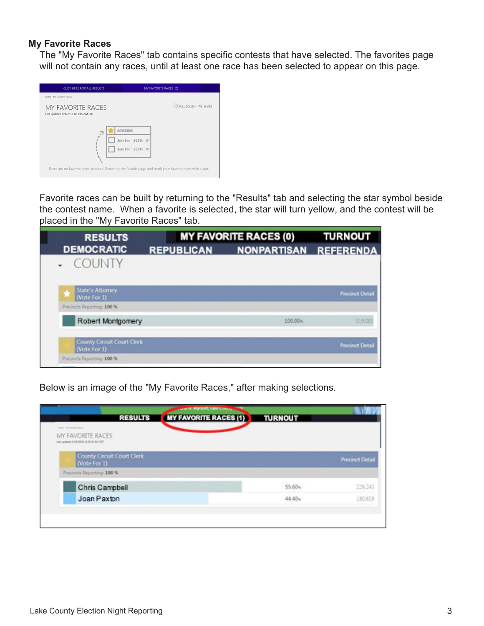#### **My Favorite Races**

The "My Favorite Races" tab contains specific contests that have selected. The favorites page will not contain any races, until at least one race has been selected to appear on this page.

| CLICK HERE FOR ALL RESULTS.                                                                                |                    | MY FAVORITE RACES (0) |                               |  |
|------------------------------------------------------------------------------------------------------------|--------------------|-----------------------|-------------------------------|--|
| HOME - MY FAVORITE RACES.                                                                                  |                    |                       |                               |  |
| <b>MY FAVORITE RACES</b><br>Last updated 9/1/2016 8:16:15 AM EDT                                           |                    |                       | <b>Z FULL SCREEN</b> OF SHARE |  |
|                                                                                                            | GOVERNOR           |                       |                               |  |
|                                                                                                            | John Doe 50.00x 25 |                       |                               |  |
|                                                                                                            | Jane Doe 50.00x 25 |                       |                               |  |
|                                                                                                            |                    |                       |                               |  |
| There are no favorite races selected. Return to the Results page and mark your favorite races with a star. |                    |                       |                               |  |
|                                                                                                            |                    |                       |                               |  |

Favorite races can be built by returning to the "Results" tab and selecting the star symbol beside the contest name. When a favorite is selected, the star will turn yellow, and the contest will be placed in the "My Favorite Races" tab.

| <b>RESULTS</b>                                    |                   | <b>MY FAVORITE RACES (0)</b> | <b>TURNOUT</b>         |
|---------------------------------------------------|-------------------|------------------------------|------------------------|
| <b>DEMOCRATIC</b>                                 | <b>REPUBLICAN</b> | NONPARTISAN REFERENDA        |                        |
| <b>COUNTY</b>                                     |                   |                              |                        |
| State's Attorney<br>(Vote For 1)                  |                   |                              | <b>Precinct Detail</b> |
| Precincts Reporting: 100 %                        |                   |                              |                        |
| Robert Montgomery                                 |                   | 100.00 <sub>%</sub>          | 319.083                |
| <b>County Circuit Court Clerk</b><br>(Vote For 1) |                   |                              | <b>Precinct Detail</b> |
| Precincts Reporting: 100 %                        |                   |                              |                        |

Below is an image of the "My Favorite Races," after making selections.

| <b>RESULTS</b>                                          | <b>COMPANY WYCROW, LIBRIT LIBRARY </b><br><b>MY FAVORITE RACES (1)</b><br><b>TURNOUT</b> |                        |
|---------------------------------------------------------|------------------------------------------------------------------------------------------|------------------------|
| mine. In resistor each.                                 |                                                                                          |                        |
| MY FAVORITE RACES<br>Let upmeet in MIDSA 13 6118-AW CDT |                                                                                          |                        |
| County Circuit Court Clerk<br>(Vote For 1)              |                                                                                          | <b>Precinct Detail</b> |
| Precincts Reporting: 100 %                              |                                                                                          |                        |
| Chris Campbell                                          | 55.60%                                                                                   | 226,245                |
| Joan Paxton                                             | 44.40%                                                                                   | 180,658                |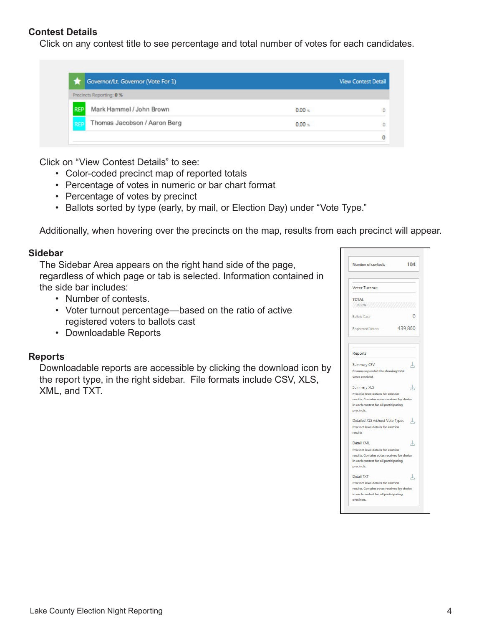## **Contest Details**

Click on any contest title to see percentage and total number of votes for each candidates.

|            | Governor/Lt. Governor (Vote For 1) |          | <b>View Contest Detail</b> |
|------------|------------------------------------|----------|----------------------------|
|            | Precincts Reporting: 0 %           |          |                            |
| <b>REP</b> | Mark Hammel / John Brown           | $0.00 -$ | $\circ$                    |
| <b>REP</b> | Thomas Jacobson / Aaron Berg       | $0.00 -$ | O                          |
|            |                                    |          |                            |

Click on "View Contest Details" to see:

- Color-coded precinct map of reported totals
- Percentage of votes in numeric or bar chart format
- Percentage of votes by precinct
- Ballots sorted by type (early, by mail, or Election Day) under "Vote Type."

Additionally, when hovering over the precincts on the map, results from each precinct will appear.

#### **Sidebar**

The Sidebar Area appears on the right hand side of the page, regardless of which page or tab is selected. Information contained in the side bar includes:

- Number of contests.
- Voter turnout percentage—based on the ratio of active registered voters to ballots cast
- Downloadable Reports

#### **Reports**

Downloadable reports are accessible by clicking the download icon by the report type, in the right sidebar. File formats include CSV, XLS, XML, and TXT.

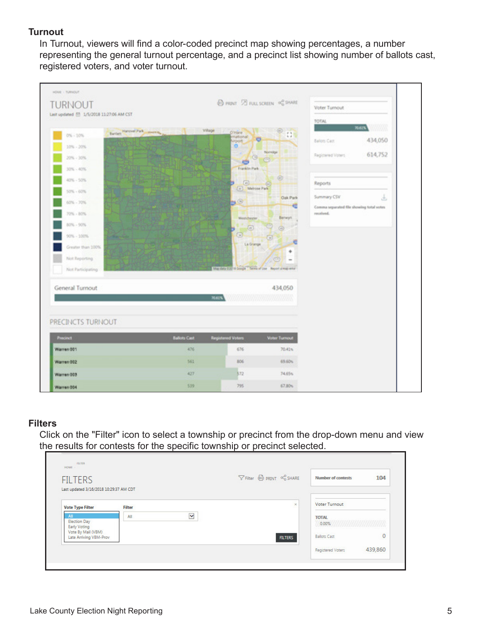## **Turnout**

In Turnout, viewers will find a color-coded precinct map showing percentages, a number representing the general turnout percentage, and a precinct list showing number of ballots cast, registered voters, and voter turnout.



#### **Filters**

Click on the "Filter" icon to select a township or precinct from the drop-down menu and view the results for contests for the specific township or precinct selected.

| <b>FILTERS</b>                               |        |              | $\nabla$ Filter $\bigoplus$ PRINT $\propto_0^0$ SHARE | <b>Number of contests</b> | 104     |
|----------------------------------------------|--------|--------------|-------------------------------------------------------|---------------------------|---------|
| Last updated 3/16/2018 10:29:37 AM CDT       |        |              |                                                       |                           |         |
| <b>Vote Type Filter</b>                      | Filter |              | $\times$                                              | <b>Voter Turnout</b>      |         |
| All                                          | All    | $\checkmark$ |                                                       | <b>TOTAL</b>              |         |
| <b>Election Day</b><br><b>Early Voting</b>   |        |              |                                                       | 0.00%                     |         |
| Vote By Mail (VBM)<br>Late Arriving VBM-Prov |        |              | <b>FILTERS</b>                                        | <b>Ballots Cast</b>       | $\circ$ |
|                                              |        |              |                                                       | Registered Voters         | 439,860 |